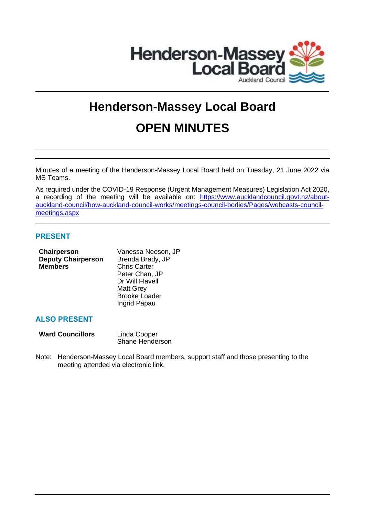

# **Henderson-Massey Local Board OPEN MINUTES**

Minutes of a meeting of the Henderson-Massey Local Board held on Tuesday, 21 June 2022 via MS Teams.

As required under the COVID-19 Response (Urgent Management Measures) Legislation Act 2020, a recording of the meeting will be available on: [https://www.aucklandcouncil.govt.nz/about](https://www.aucklandcouncil.govt.nz/about-auckland-council/how-auckland-council-works/meetings-council-bodies/Pages/webcasts-council-meetings.aspx)[auckland-council/how-auckland-council-works/meetings-council-bodies/Pages/webcasts-council](https://www.aucklandcouncil.govt.nz/about-auckland-council/how-auckland-council-works/meetings-council-bodies/Pages/webcasts-council-meetings.aspx)[meetings.aspx](https://www.aucklandcouncil.govt.nz/about-auckland-council/how-auckland-council-works/meetings-council-bodies/Pages/webcasts-council-meetings.aspx)

## **PRESENT**

| Chairperson               | Vanessa Neeson, JP   |
|---------------------------|----------------------|
| <b>Deputy Chairperson</b> | Brenda Brady, JP     |
| <b>Members</b>            | <b>Chris Carter</b>  |
|                           | Peter Chan, JP       |
|                           | Dr Will Flavell      |
|                           | <b>Matt Grey</b>     |
|                           | <b>Brooke Loader</b> |
|                           | Ingrid Papau         |
|                           |                      |
|                           |                      |

# **ALSO PRESENT**

| <b>Ward Councillors</b> | Linda Cooper           |
|-------------------------|------------------------|
|                         | <b>Shane Henderson</b> |

Note: Henderson-Massey Local Board members, support staff and those presenting to the meeting attended via electronic link.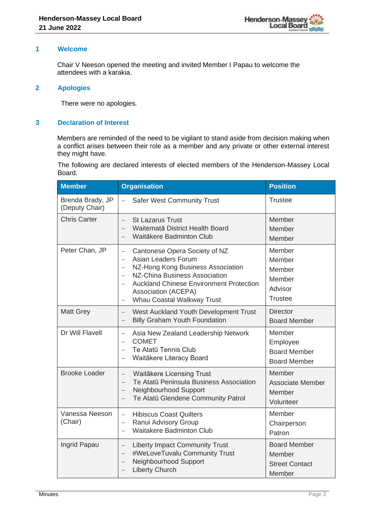## **1 Welcome**

Chair V Neeson opened the meeting and invited Member I Papau to welcome the attendees with a karakia.

## **2 Apologies**

There were no apologies.

## **3 Declaration of Interest**

Members are reminded of the need to be vigilant to stand aside from decision making when a conflict arises between their role as a member and any private or other external interest they might have.

The following are declared interests of elected members of the Henderson-Massey Local Board.

| <b>Member</b>                      | <b>Organisation</b>                                                                                                                                                                                                                                                                                                                                                    | <b>Position</b>                                                   |
|------------------------------------|------------------------------------------------------------------------------------------------------------------------------------------------------------------------------------------------------------------------------------------------------------------------------------------------------------------------------------------------------------------------|-------------------------------------------------------------------|
| Brenda Brady, JP<br>(Deputy Chair) | <b>Safer West Community Trust</b><br>$\overline{\phantom{0}}$                                                                                                                                                                                                                                                                                                          | <b>Trustee</b>                                                    |
| <b>Chris Carter</b>                | <b>St Lazarus Trust</b><br>$\equiv$<br>Waitematā District Health Board<br>Waitākere Badminton Club<br>$\overline{\phantom{0}}$                                                                                                                                                                                                                                         | Member<br>Member<br>Member                                        |
| Peter Chan, JP                     | Cantonese Opera Society of NZ<br>$\qquad \qquad -$<br>Asian Leaders Forum<br>NZ-Hong Kong Business Association<br>$\overline{\phantom{0}}$<br>NZ-China Business Association<br>$\overline{\phantom{0}}$<br><b>Auckland Chinese Environment Protection</b><br>$\overline{\phantom{0}}$<br>Association (ACEPA)<br>Whau Coastal Walkway Trust<br>$\overline{\phantom{0}}$ | Member<br>Member<br>Member<br>Member<br>Advisor<br><b>Trustee</b> |
| <b>Matt Grey</b>                   | West Auckland Youth Development Trust<br>$\equiv$<br><b>Billy Graham Youth Foundation</b><br>$\overline{\phantom{m}}$                                                                                                                                                                                                                                                  | <b>Director</b><br><b>Board Member</b>                            |
| Dr Will Flavell                    | Asia New Zealand Leadership Network<br>$\overline{\phantom{0}}$<br><b>COMET</b><br>$\overline{\phantom{0}}$<br>Te Atatū Tennis Club<br>$\overline{\phantom{0}}$<br>Waitākere Literacy Board<br>$\overline{\phantom{0}}$                                                                                                                                                | Member<br>Employee<br><b>Board Member</b><br><b>Board Member</b>  |
| <b>Brooke Loader</b>               | Waitākere Licensing Trust<br>$\equiv$<br>Te Atatū Peninsula Business Association<br>$\overline{\phantom{0}}$<br>Neighbourhood Support<br>$\overline{\phantom{0}}$<br>Te Atatū Glendene Community Patrol                                                                                                                                                                | Member<br><b>Associate Member</b><br>Member<br>Volunteer          |
| Vanessa Neeson<br>(Chair)          | <b>Hibiscus Coast Quilters</b><br>$\equiv$<br>Ranui Advisory Group<br>$\overline{\phantom{0}}$<br><b>Waitakere Badminton Club</b>                                                                                                                                                                                                                                      | Member<br>Chairperson<br>Patron                                   |
| Ingrid Papau                       | <b>Liberty Impact Community Trust</b><br>$\overline{\phantom{m}}$<br>#WeLoveTuvalu Community Trust<br>$\overline{\phantom{m}}$<br>Neighbourhood Support<br>$\overline{\phantom{m}}$<br><b>Liberty Church</b><br>$\overline{\phantom{0}}$                                                                                                                               | <b>Board Member</b><br>Member<br><b>Street Contact</b><br>Member  |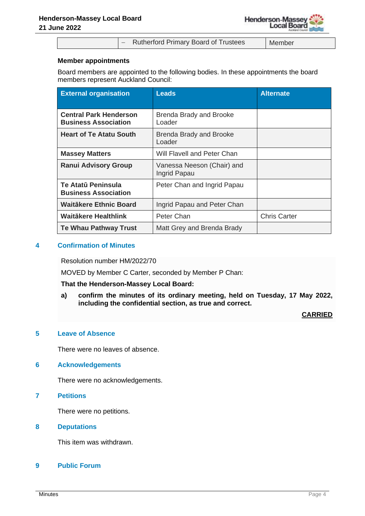− Rutherford Primary Board of Trustees Member

## **Member appointments**

Board members are appointed to the following bodies. In these appointments the board members represent Auckland Council:

| <b>External organisation</b>                                 | <b>Leads</b>                               | <b>Alternate</b>    |
|--------------------------------------------------------------|--------------------------------------------|---------------------|
| <b>Central Park Henderson</b><br><b>Business Association</b> | <b>Brenda Brady and Brooke</b><br>Loader   |                     |
| <b>Heart of Te Atatu South</b>                               | <b>Brenda Brady and Brooke</b><br>Loader   |                     |
| <b>Massey Matters</b>                                        | Will Flavell and Peter Chan                |                     |
| <b>Ranui Advisory Group</b>                                  | Vanessa Neeson (Chair) and<br>Ingrid Papau |                     |
| Te Atatū Peninsula<br><b>Business Association</b>            | Peter Chan and Ingrid Papau                |                     |
| <b>Waitäkere Ethnic Board</b>                                | Ingrid Papau and Peter Chan                |                     |
| Waitākere Healthlink                                         | Peter Chan                                 | <b>Chris Carter</b> |
| <b>Te Whau Pathway Trust</b>                                 | Matt Grey and Brenda Brady                 |                     |

## **4 Confirmation of Minutes**

Resolution number HM/2022/70

MOVED by Member C Carter, seconded by Member P Chan:

## **That the Henderson-Massey Local Board:**

**a) confirm the minutes of its ordinary meeting, held on Tuesday, 17 May 2022, including the confidential section, as true and correct.**

## **CARRIED**

## **5 Leave of Absence**

There were no leaves of absence.

## **6 Acknowledgements**

There were no acknowledgements.

# **7 Petitions**

There were no petitions.

## **8 Deputations**

This item was withdrawn.

## **9 Public Forum**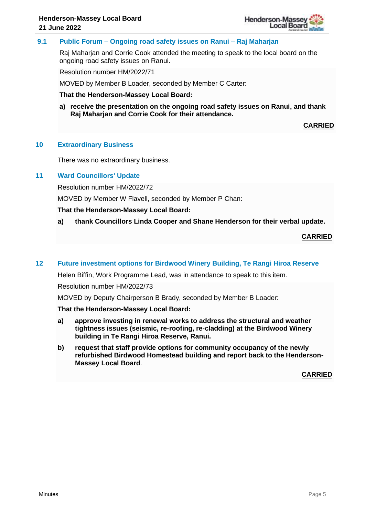

## **9.1 Public Forum – Ongoing road safety issues on Ranui – Raj Maharjan**

Raj Maharjan and Corrie Cook attended the meeting to speak to the local board on the ongoing road safety issues on Ranui.

Resolution number HM/2022/71

MOVED by Member B Loader, seconded by Member C Carter:

**That the Henderson-Massey Local Board:**

**a) receive the presentation on the ongoing road safety issues on Ranui, and thank Raj Maharjan and Corrie Cook for their attendance.**

**CARRIED**

## **10 Extraordinary Business**

There was no extraordinary business.

## **11 Ward Councillors' Update**

Resolution number HM/2022/72

MOVED by Member W Flavell, seconded by Member P Chan:

## **That the Henderson-Massey Local Board:**

**a) thank Councillors Linda Cooper and Shane Henderson for their verbal update.**

**CARRIED**

## **12 Future investment options for Birdwood Winery Building, Te Rangi Hiroa Reserve**

Helen Biffin, Work Programme Lead, was in attendance to speak to this item.

Resolution number HM/2022/73

MOVED by Deputy Chairperson B Brady, seconded by Member B Loader:

## **That the Henderson-Massey Local Board:**

- **a) approve investing in renewal works to address the structural and weather tightness issues (seismic, re-roofing, re-cladding) at the Birdwood Winery building in Te Rangi Hiroa Reserve, Ranui.**
- **b) request that staff provide options for community occupancy of the newly refurbished Birdwood Homestead building and report back to the Henderson-Massey Local Board**.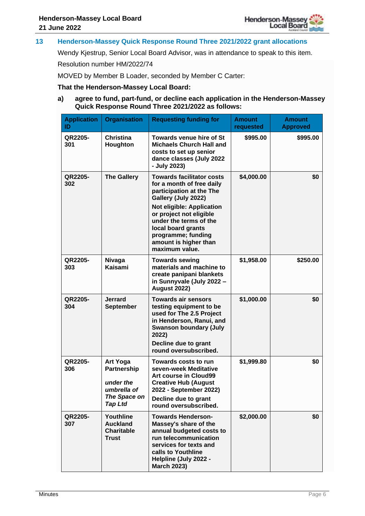

## **13 Henderson-Massey Quick Response Round Three 2021/2022 grant allocations**

Wendy Kjestrup, Senior Local Board Advisor, was in attendance to speak to this item.

Resolution number HM/2022/74

MOVED by Member B Loader, seconded by Member C Carter:

#### **That the Henderson-Massey Local Board:**

## **a) agree to fund, part-fund, or decline each application in the Henderson-Massey Quick Response Round Three 2021/2022 as follows:**

| <b>Application</b><br>ID | <b>Organisation</b>                                                                          | <b>Requesting funding for</b>                                                                                                                                                                                                                                                             | <b>Amount</b><br>requested | <b>Amount</b><br><b>Approved</b> |
|--------------------------|----------------------------------------------------------------------------------------------|-------------------------------------------------------------------------------------------------------------------------------------------------------------------------------------------------------------------------------------------------------------------------------------------|----------------------------|----------------------------------|
| QR2205-<br>301           | <b>Christina</b><br>Houghton                                                                 | <b>Towards venue hire of St</b><br><b>Michaels Church Hall and</b><br>costs to set up senior<br>dance classes (July 2022<br>- July 2023)                                                                                                                                                  | \$995.00                   | \$995.00                         |
| QR2205-<br>302           | <b>The Gallery</b>                                                                           | <b>Towards facilitator costs</b><br>for a month of free daily<br>participation at the The<br>Gallery (July 2022)<br>Not eligible: Application<br>or project not eligible<br>under the terms of the<br>local board grants<br>programme; funding<br>amount is higher than<br>maximum value. | \$4,000.00                 | \$0                              |
| QR2205-<br>303           | <b>Nivaga</b><br>Kaisami                                                                     | <b>Towards sewing</b><br>materials and machine to<br>create panipani blankets<br>in Sunnyvale (July 2022 -<br><b>August 2022)</b>                                                                                                                                                         | \$1,958.00                 | \$250.00                         |
| QR2205-<br>304           | <b>Jerrard</b><br><b>September</b>                                                           | <b>Towards air sensors</b><br>testing equipment to be<br>used for The 2.5 Project<br>in Henderson, Ranui, and<br><b>Swanson boundary (July</b><br>2022)<br>Decline due to grant<br>round oversubscribed.                                                                                  | \$1,000.00                 | \$0                              |
| QR2205-<br>306           | <b>Art Yoga</b><br>Partnership<br>under the<br>umbrella of<br>The Space on<br><b>Tap Ltd</b> | Towards costs to run<br>seven-week Meditative<br><b>Art course in Cloud99</b><br><b>Creative Hub (August</b><br>2022 - September 2022)<br>Decline due to grant<br>round oversubscribed.                                                                                                   | \$1,999.80                 | \$0                              |
| QR2205-<br>307           | Youthline<br><b>Auckland</b><br><b>Charitable</b><br><b>Trust</b>                            | <b>Towards Henderson-</b><br>Massey's share of the<br>annual budgeted costs to<br>run telecommunication<br>services for texts and<br>calls to Youthline<br>Helpline (July 2022 -<br><b>March 2023)</b>                                                                                    | \$2,000.00                 | \$0                              |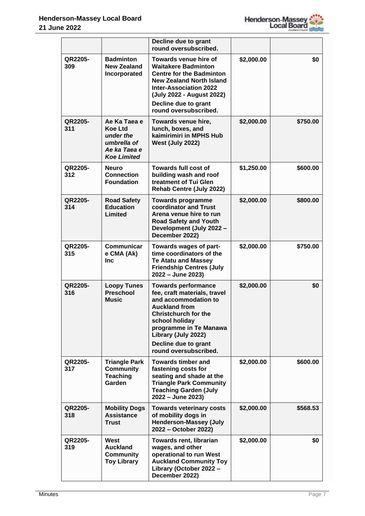

|                |                                                                                                  | Decline due to grant<br>round oversubscribed.                                                                                                                                                                                                                 |            |          |
|----------------|--------------------------------------------------------------------------------------------------|---------------------------------------------------------------------------------------------------------------------------------------------------------------------------------------------------------------------------------------------------------------|------------|----------|
| QR2205-<br>309 | <b>Badminton</b><br><b>New Zealand</b><br>Incorporated                                           | Towards venue hire of<br><b>Waitakere Badminton</b><br><b>Centre for the Badminton</b><br><b>New Zealand North Island</b><br><b>Inter-Association 2022</b><br>(July 2022 - August 2022)<br>Decline due to grant<br>round oversubscribed.                      | \$2,000.00 | \$0      |
| QR2205-<br>311 | Ae Ka Taea e<br><b>Koe Ltd</b><br>under the<br>umbrella of<br>Ae ka Taea e<br><b>Koe Limited</b> | Towards venue hire,<br>lunch, boxes, and<br>kaimirimiri in MPHS Hub<br><b>West (July 2022)</b>                                                                                                                                                                | \$2,000.00 | \$750.00 |
| QR2205-<br>312 | Neuro<br><b>Connection</b><br><b>Foundation</b>                                                  | Towards full cost of<br>building wash and roof<br>treatment of Tui Glen<br>Rehab Centre (July 2022)                                                                                                                                                           | \$1,250.00 | \$600.00 |
| QR2205-<br>314 | <b>Road Safety</b><br><b>Education</b><br>Limited                                                | <b>Towards programme</b><br>coordinator and Trust<br>Arena venue hire to run<br><b>Road Safety and Youth</b><br>Development (July 2022 -<br>December 2022)                                                                                                    | \$2,000.00 | \$800.00 |
| QR2205-<br>315 | Communicar<br>e CMA (Ak)<br>Inc                                                                  | Towards wages of part-<br>time coordinators of the<br><b>Te Atatu and Massey</b><br><b>Friendship Centres (July</b><br>2022 - June 2023)                                                                                                                      | \$2,000.00 | \$750.00 |
| QR2205-<br>316 | <b>Loopy Tunes</b><br><b>Preschool</b><br><b>Music</b>                                           | <b>Towards performance</b><br>fee, craft materials, travel<br>and accommodation to<br><b>Auckland from</b><br><b>Christchurch for the</b><br>school holiday<br>programme in Te Manawa<br>Library (July 2022)<br>Decline due to grant<br>round oversubscribed. | \$2,000.00 | \$0      |
| QR2205-<br>317 | <b>Triangle Park</b><br><b>Community</b><br><b>Teaching</b><br>Garden                            | <b>Towards timber and</b><br>fastening costs for<br>seating and shade at the<br><b>Triangle Park Community</b><br><b>Teaching Garden (July</b><br>2022 - June 2023)                                                                                           | \$2,000.00 | \$600.00 |
| QR2205-<br>318 | <b>Mobility Dogs</b><br><b>Assistance</b><br><b>Trust</b>                                        | <b>Towards veterinary costs</b><br>of mobility dogs in<br><b>Henderson-Massey (July</b><br>2022 - October 2022)                                                                                                                                               | \$2,000.00 | \$568.53 |
| QR2205-<br>319 | West<br><b>Auckland</b><br><b>Community</b><br><b>Toy Library</b>                                | <b>Towards rent, librarian</b><br>wages, and other<br>operational to run West<br><b>Auckland Community Toy</b><br>Library (October 2022 -<br>December 2022)                                                                                                   | \$2,000.00 | \$0      |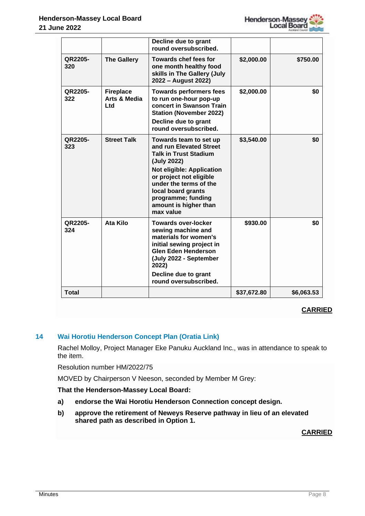

|                |                                                    | Decline due to grant<br>round oversubscribed.                                                                                                                                                                                                                               |             |            |
|----------------|----------------------------------------------------|-----------------------------------------------------------------------------------------------------------------------------------------------------------------------------------------------------------------------------------------------------------------------------|-------------|------------|
| QR2205-<br>320 | <b>The Gallery</b>                                 | Towards chef fees for<br>one month healthy food<br>skills in The Gallery (July<br>2022 - August 2022)                                                                                                                                                                       | \$2,000.00  | \$750.00   |
| QR2205-<br>322 | <b>Fireplace</b><br><b>Arts &amp; Media</b><br>Ltd | <b>Towards performers fees</b><br>to run one-hour pop-up<br>concert in Swanson Train<br><b>Station (November 2022)</b><br>Decline due to grant<br>round oversubscribed.                                                                                                     | \$2,000.00  | \$0        |
| QR2205-<br>323 | <b>Street Talk</b>                                 | Towards team to set up<br>and run Elevated Street<br><b>Talk in Trust Stadium</b><br>(July 2022)<br><b>Not eligible: Application</b><br>or project not eligible<br>under the terms of the<br>local board grants<br>programme; funding<br>amount is higher than<br>max value | \$3,540.00  | \$0        |
| QR2205-<br>324 | <b>Ata Kilo</b>                                    | <b>Towards over-locker</b><br>sewing machine and<br>materials for women's<br>initial sewing project in<br><b>Glen Eden Henderson</b><br>(July 2022 - September<br>2022)<br>Decline due to grant<br>round oversubscribed.                                                    | \$930.00    | \$0        |
| <b>Total</b>   |                                                    |                                                                                                                                                                                                                                                                             | \$37,672.80 | \$6,063.53 |

# **CARRIED**

# **14 Wai Horotiu Henderson Concept Plan (Oratia Link)**

Rachel Molloy, Project Manager Eke Panuku Auckland Inc., was in attendance to speak to the item.

Resolution number HM/2022/75

MOVED by Chairperson V Neeson, seconded by Member M Grey:

## **That the Henderson-Massey Local Board:**

- **a) endorse the Wai Horotiu Henderson Connection concept design.**
- **b) approve the retirement of Neweys Reserve pathway in lieu of an elevated shared path as described in Option 1.**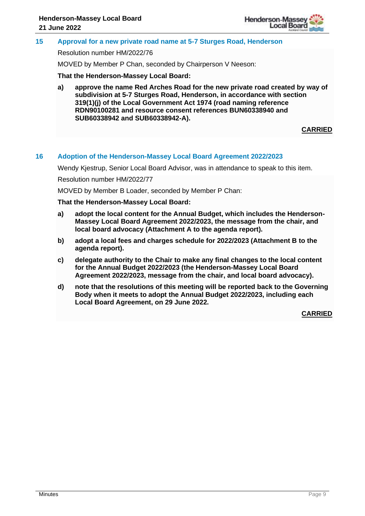

## **15 Approval for a new private road name at 5-7 Sturges Road, Henderson**

Resolution number HM/2022/76

MOVED by Member P Chan, seconded by Chairperson V Neeson:

**That the Henderson-Massey Local Board:**

**a) approve the name Red Arches Road for the new private road created by way of subdivision at 5-7 Sturges Road, Henderson, in accordance with section 319(1)(j) of the Local Government Act 1974 (road naming reference RDN90100281 and resource consent references BUN60338940 and SUB60338942 and SUB60338942-A).**

**CARRIED**

## **16 Adoption of the Henderson-Massey Local Board Agreement 2022/2023**

Wendy Kjestrup, Senior Local Board Advisor, was in attendance to speak to this item.

Resolution number HM/2022/77

MOVED by Member B Loader, seconded by Member P Chan:

**That the Henderson-Massey Local Board:**

- **a) adopt the local content for the Annual Budget, which includes the Henderson-Massey Local Board Agreement 2022/2023, the message from the chair, and local board advocacy (Attachment A to the agenda report).**
- **b) adopt a local fees and charges schedule for 2022/2023 (Attachment B to the agenda report).**
- **c) delegate authority to the Chair to make any final changes to the local content for the Annual Budget 2022/2023 (the Henderson-Massey Local Board Agreement 2022/2023, message from the chair, and local board advocacy).**
- **d) note that the resolutions of this meeting will be reported back to the Governing Body when it meets to adopt the Annual Budget 2022/2023, including each Local Board Agreement, on 29 June 2022.**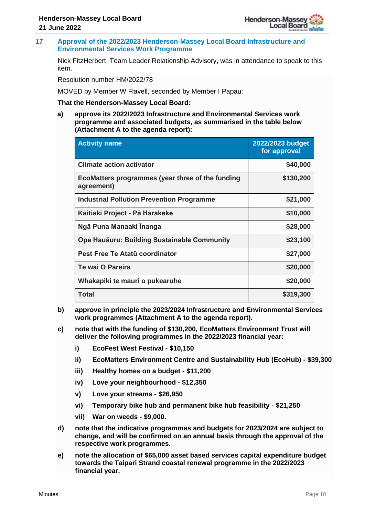

**17 Approval of the 2022/2023 Henderson-Massey Local Board Infrastructure and Environmental Services Work Programme**

Nick FitzHerbert, Team Leader Relationship Advisory, was in attendance to speak to this item.

Resolution number HM/2022/78

MOVED by Member W Flavell, seconded by Member I Papau:

## **That the Henderson-Massey Local Board:**

**a) approve its 2022/2023 Infrastructure and Environmental Services work programme and associated budgets, as summarised in the table below (Attachment A to the agenda report):**

| <b>Activity name</b>                                           | 2022/2023 budget<br>for approval |
|----------------------------------------------------------------|----------------------------------|
| <b>Climate action activator</b>                                | \$40,000                         |
| EcoMatters programmes (year three of the funding<br>agreement) | \$130,200                        |
| <b>Industrial Pollution Prevention Programme</b>               | \$21,000                         |
| Kaitiaki Project - Pā Harakeke                                 | \$10,000                         |
| Ngā Puna Manaaki Inanga                                        | \$28,000                         |
| Ope Hauāuru: Building Sustainable Community                    | \$23,100                         |
| Pest Free Te Atatū coordinator                                 | \$27,000                         |
| Te wai O Pareira                                               | \$20,000                         |
| Whakapiki te mauri o pukearuhe                                 | \$20,000                         |
| Total                                                          | \$319,300                        |

- **b) approve in principle the 2023/2024 Infrastructure and Environmental Services work programmes (Attachment A to the agenda report).**
- **c) note that with the funding of \$130,200, EcoMatters Environment Trust will deliver the following programmes in the 2022/2023 financial year:**
	- **i) EcoFest West Festival - \$10,150**
	- **ii) EcoMatters Environment Centre and Sustainability Hub (EcoHub) - \$39,300**
	- **iii) Healthy homes on a budget - \$11,200**
	- **iv) Love your neighbourhood - \$12,350**
	- **v) Love your streams - \$26,950**
	- **vi) Temporary bike hub and permanent bike hub feasibility - \$21,250**
	- **vii) War on weeds - \$9,000.**
- **d) note that the indicative programmes and budgets for 2023/2024 are subject to change, and will be confirmed on an annual basis through the approval of the respective work programmes.**
- **e) note the allocation of \$65,000 asset based services capital expenditure budget towards the Taipari Strand coastal renewal programme in the 2022/2023 financial year.**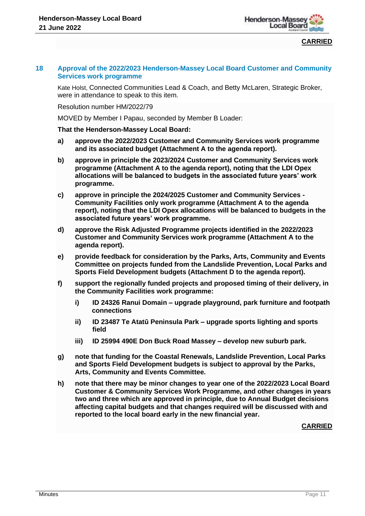

**CARRIED**

## **18 Approval of the 2022/2023 Henderson-Massey Local Board Customer and Community Services work programme**

Kate Holst, Connected Communities Lead & Coach, and Betty McLaren, Strategic Broker, were in attendance to speak to this item.

Resolution number HM/2022/79

MOVED by Member I Papau, seconded by Member B Loader:

**That the Henderson-Massey Local Board:**

- **a) approve the 2022/2023 Customer and Community Services work programme and its associated budget (Attachment A to the agenda report).**
- **b) approve in principle the 2023/2024 Customer and Community Services work programme (Attachment A to the agenda report), noting that the LDI Opex allocations will be balanced to budgets in the associated future years' work programme.**
- **c) approve in principle the 2024/2025 Customer and Community Services - Community Facilities only work programme (Attachment A to the agenda report), noting that the LDI Opex allocations will be balanced to budgets in the associated future years' work programme.**
- **d) approve the Risk Adjusted Programme projects identified in the 2022/2023 Customer and Community Services work programme (Attachment A to the agenda report).**
- **e) provide feedback for consideration by the Parks, Arts, Community and Events Committee on projects funded from the Landslide Prevention, Local Parks and Sports Field Development budgets (Attachment D to the agenda report).**
- **f) support the regionally funded projects and proposed timing of their delivery, in the Community Facilities work programme:**
	- **i) ID 24326 Ranui Domain – upgrade playground, park furniture and footpath connections**
	- **ii) ID 23487 Te Atatū Peninsula Park – upgrade sports lighting and sports field**
	- **iii) ID 25994 490E Don Buck Road Massey – develop new suburb park.**
- **g) note that funding for the Coastal Renewals, Landslide Prevention, Local Parks and Sports Field Development budgets is subject to approval by the Parks, Arts, Community and Events Committee.**
- **h) note that there may be minor changes to year one of the 2022/2023 Local Board Customer & Community Services Work Programme, and other changes in years two and three which are approved in principle, due to Annual Budget decisions affecting capital budgets and that changes required will be discussed with and reported to the local board early in the new financial year.**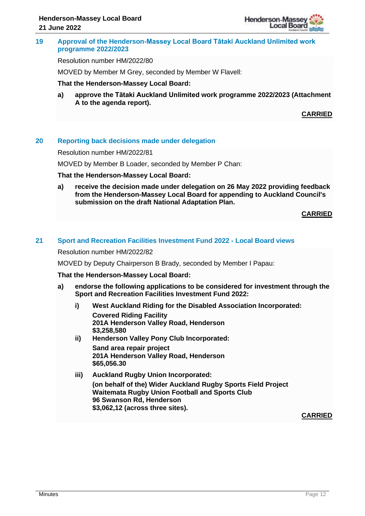

## **19 Approval of the Henderson-Massey Local Board Tātaki Auckland Unlimited work programme 2022/2023**

Resolution number HM/2022/80

MOVED by Member M Grey, seconded by Member W Flavell:

#### **That the Henderson-Massey Local Board:**

**a) approve the Tātaki Auckland Unlimited work programme 2022/2023 (Attachment A to the agenda report).**

**CARRIED**

## **20 Reporting back decisions made under delegation**

Resolution number HM/2022/81

MOVED by Member B Loader, seconded by Member P Chan:

#### **That the Henderson-Massey Local Board:**

**a) receive the decision made under delegation on 26 May 2022 providing feedback from the Henderson-Massey Local Board for appending to Auckland Council's submission on the draft National Adaptation Plan.**

**CARRIED**

## **21 Sport and Recreation Facilities Investment Fund 2022 - Local Board views**

Resolution number HM/2022/82

MOVED by Deputy Chairperson B Brady, seconded by Member I Papau:

#### **That the Henderson-Massey Local Board:**

- **a) endorse the following applications to be considered for investment through the Sport and Recreation Facilities Investment Fund 2022:**
	- **i) West Auckland Riding for the Disabled Association Incorporated: Covered Riding Facility 201A Henderson Valley Road, Henderson \$3,258,580 ii) Henderson Valley Pony Club Incorporated: Sand area repair project**
	- **201A Henderson Valley Road, Henderson \$65,056.30 iii) Auckland Rugby Union Incorporated:**
		- **(on behalf of the) Wider Auckland Rugby Sports Field Project Waitemata Rugby Union Football and Sports Club 96 Swanson Rd, Henderson \$3,062,12 (across three sites).**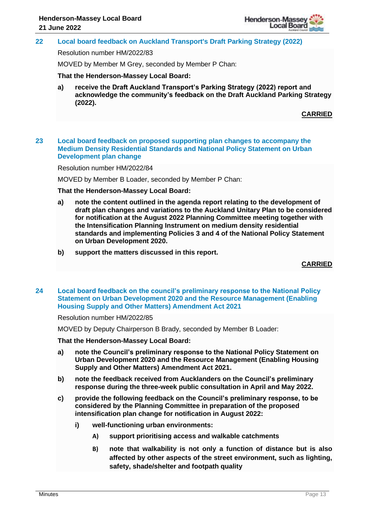

## **22 Local board feedback on Auckland Transport's Draft Parking Strategy (2022)**

Resolution number HM/2022/83

MOVED by Member M Grey, seconded by Member P Chan:

**That the Henderson-Massey Local Board:**

**a) receive the Draft Auckland Transport's Parking Strategy (2022) report and acknowledge the community's feedback on the Draft Auckland Parking Strategy (2022).**

**CARRIED**

## **23 Local board feedback on proposed supporting plan changes to accompany the Medium Density Residential Standards and National Policy Statement on Urban Development plan change**

Resolution number HM/2022/84

MOVED by Member B Loader, seconded by Member P Chan:

#### **That the Henderson-Massey Local Board:**

- **a) note the content outlined in the agenda report relating to the development of draft plan changes and variations to the Auckland Unitary Plan to be considered for notification at the August 2022 Planning Committee meeting together with the Intensification Planning Instrument on medium density residential standards and implementing Policies 3 and 4 of the National Policy Statement on Urban Development 2020.**
- **b) support the matters discussed in this report.**

**CARRIED**

## **24 Local board feedback on the council's preliminary response to the National Policy Statement on Urban Development 2020 and the Resource Management (Enabling Housing Supply and Other Matters) Amendment Act 2021**

#### Resolution number HM/2022/85

MOVED by Deputy Chairperson B Brady, seconded by Member B Loader:

**That the Henderson-Massey Local Board:**

- **a) note the Council's preliminary response to the National Policy Statement on Urban Development 2020 and the Resource Management (Enabling Housing Supply and Other Matters) Amendment Act 2021.**
- **b) note the feedback received from Aucklanders on the Council's preliminary response during the three-week public consultation in April and May 2022.**
- **c) provide the following feedback on the Council's preliminary response, to be considered by the Planning Committee in preparation of the proposed intensification plan change for notification in August 2022:**
	- **i) well-functioning urban environments:** 
		- **A) support prioritising access and walkable catchments**
		- **B) note that walkability is not only a function of distance but is also affected by other aspects of the street environment, such as lighting, safety, shade/shelter and footpath quality**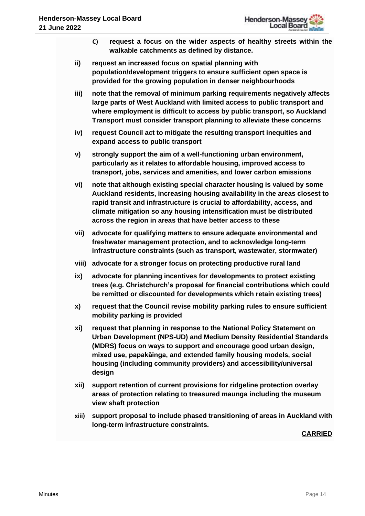- **C) request a focus on the wider aspects of healthy streets within the walkable catchments as defined by distance.**
- **ii) request an increased focus on spatial planning with population/development triggers to ensure sufficient open space is provided for the growing population in denser neighbourhoods**
- **iii) note that the removal of minimum parking requirements negatively affects large parts of West Auckland with limited access to public transport and where employment is difficult to access by public transport, so Auckland Transport must consider transport planning to alleviate these concerns**
- **iv) request Council act to mitigate the resulting transport inequities and expand access to public transport**
- **v) strongly support the aim of a well-functioning urban environment, particularly as it relates to affordable housing, improved access to transport, jobs, services and amenities, and lower carbon emissions**
- **vi) note that although existing special character housing is valued by some Auckland residents, increasing housing availability in the areas closest to rapid transit and infrastructure is crucial to affordability, access, and climate mitigation so any housing intensification must be distributed across the region in areas that have better access to these**
- **vii) advocate for qualifying matters to ensure adequate environmental and freshwater management protection, and to acknowledge long-term infrastructure constraints (such as transport, wastewater, stormwater)**
- **viii) advocate for a stronger focus on protecting productive rural land**
- **ix) advocate for planning incentives for developments to protect existing trees (e.g. Christchurch's proposal for financial contributions which could be remitted or discounted for developments which retain existing trees)**
- **x) request that the Council revise mobility parking rules to ensure sufficient mobility parking is provided**
- **xi) request that planning in response to the National Policy Statement on Urban Development (NPS-UD) and Medium Density Residential Standards (MDRS) focus on ways to support and encourage good urban design, mixed use, papakāinga, and extended family housing models, social housing (including community providers) and accessibility/universal design**
- **xii) support retention of current provisions for ridgeline protection overlay areas of protection relating to treasured maunga including the museum view shaft protection**
- **xiii) support proposal to include phased transitioning of areas in Auckland with long-term infrastructure constraints.**